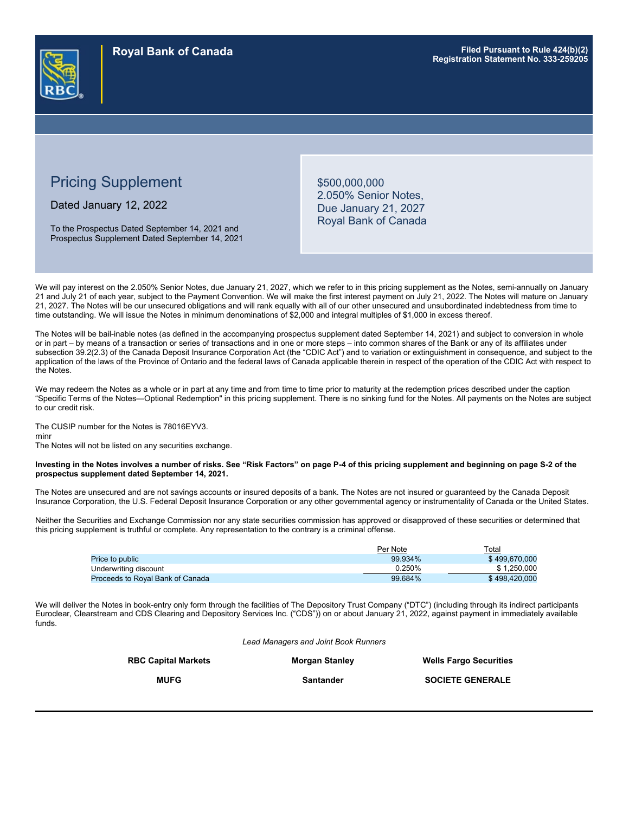

# Pricing Supplement

Dated January 12, 2022

To the Prospectus Dated September 14, 2021 and Prospectus Supplement Dated September 14, 2021 \$500,000,000 2.050% Senior Notes, Due January 21, 2027 Royal Bank of Canada

We will pay interest on the 2.050% Senior Notes, due January 21, 2027, which we refer to in this pricing supplement as the Notes, semi-annually on January 21 and July 21 of each year, subject to the Payment Convention. We will make the first interest payment on July 21, 2022. The Notes will mature on January 21, 2027. The Notes will be our unsecured obligations and will rank equally with all of our other unsecured and unsubordinated indebtedness from time to time outstanding. We will issue the Notes in minimum denominations of \$2,000 and integral multiples of \$1,000 in excess thereof.

The Notes will be bail-inable notes (as defined in the accompanying prospectus supplement dated September 14, 2021) and subject to conversion in whole or in part – by means of a transaction or series of transactions and in one or more steps – into common shares of the Bank or any of its affiliates under subsection 39.2(2.3) of the Canada Deposit Insurance Corporation Act (the "CDIC Act") and to variation or extinguishment in consequence, and subject to the application of the laws of the Province of Ontario and the federal laws of Canada applicable therein in respect of the operation of the CDIC Act with respect to the Notes.

We may redeem the Notes as a whole or in part at any time and from time to time prior to maturity at the redemption prices described under the caption "Specific Terms of the Notes—Optional Redemption" in this pricing supplement. There is no sinking fund for the Notes. All payments on the Notes are subject to our credit risk.

### The CUSIP number for the Notes is 78016EYV3.

minr

The Notes will not be listed on any securities exchange.

#### **Investing in the Notes involves a number of risks. See "Risk Factors" on page P-4 of this pricing supplement and beginning on page S-2 of the prospectus supplement dated September 14, 2021.**

The Notes are unsecured and are not savings accounts or insured deposits of a bank. The Notes are not insured or guaranteed by the Canada Deposit Insurance Corporation, the U.S. Federal Deposit Insurance Corporation or any other governmental agency or instrumentality of Canada or the United States.

Neither the Securities and Exchange Commission nor any state securities commission has approved or disapproved of these securities or determined that this pricing supplement is truthful or complete. Any representation to the contrary is a criminal offense.

|                                  | Per Note | $\tau$ otal   |
|----------------------------------|----------|---------------|
| Price to public                  | 99.934%  | \$499,670,000 |
| Underwriting discount            | 0.250%   | \$1.250.000   |
| Proceeds to Roval Bank of Canada | 99.684%  | \$498.420,000 |

We will deliver the Notes in book-entry only form through the facilities of The Depository Trust Company ("DTC") (including through its indirect participants Euroclear, Clearstream and CDS Clearing and Depository Services Inc. ("CDS")) on or about January 21, 2022, against payment in immediately available funds.

*Lead Managers and Joint Book Runners*

| <b>RBC Capital Markets</b> | <b>Morgan Stanley</b> | <b>Wells Fargo Securities</b> |
|----------------------------|-----------------------|-------------------------------|
| <b>MUFG</b>                | Santander             | <b>SOCIETE GENERALE</b>       |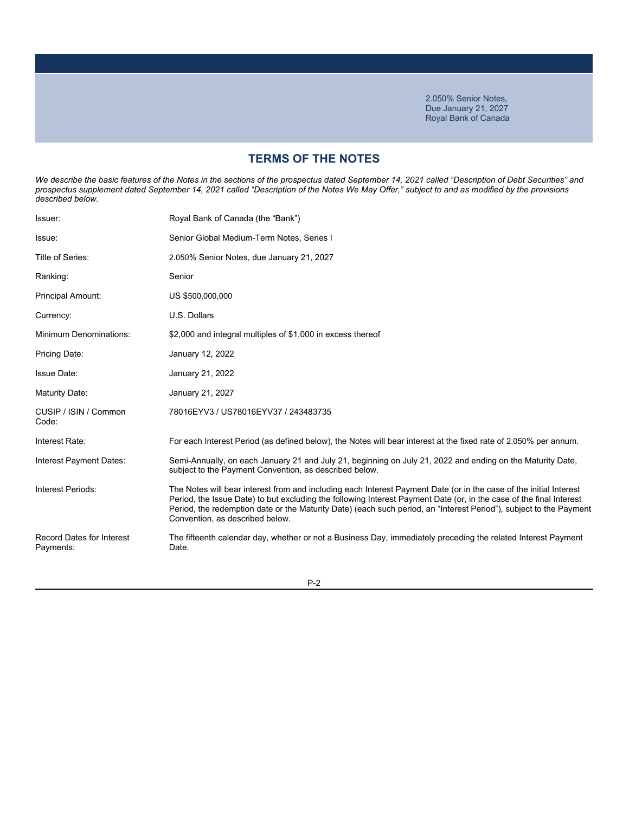### **TERMS OF THE NOTES**

We describe the basic features of the Notes in the sections of the prospectus dated September 14, 2021 called "Description of Debt Securities" and *prospectus supplement dated September 14, 2021 called "Description of the Notes We May Offer," subject to and as modified by the provisions described below.*

| Issuer:                                       | Royal Bank of Canada (the "Bank")                                                                                                                                                                                                                                                                                                                                                                  |
|-----------------------------------------------|----------------------------------------------------------------------------------------------------------------------------------------------------------------------------------------------------------------------------------------------------------------------------------------------------------------------------------------------------------------------------------------------------|
| Issue:                                        | Senior Global Medium-Term Notes, Series I                                                                                                                                                                                                                                                                                                                                                          |
| Title of Series:                              | 2.050% Senior Notes, due January 21, 2027                                                                                                                                                                                                                                                                                                                                                          |
| Ranking:                                      | Senior                                                                                                                                                                                                                                                                                                                                                                                             |
| Principal Amount:                             | US \$500,000,000                                                                                                                                                                                                                                                                                                                                                                                   |
| Currency:                                     | U.S. Dollars                                                                                                                                                                                                                                                                                                                                                                                       |
| <b>Minimum Denominations:</b>                 | \$2,000 and integral multiples of \$1,000 in excess thereof                                                                                                                                                                                                                                                                                                                                        |
| Pricing Date:                                 | January 12, 2022                                                                                                                                                                                                                                                                                                                                                                                   |
| <b>Issue Date:</b>                            | January 21, 2022                                                                                                                                                                                                                                                                                                                                                                                   |
| Maturity Date:                                | January 21, 2027                                                                                                                                                                                                                                                                                                                                                                                   |
| CUSIP / ISIN / Common<br>Code:                | 78016EYV3 / US78016EYV37 / 243483735                                                                                                                                                                                                                                                                                                                                                               |
| Interest Rate:                                | For each Interest Period (as defined below), the Notes will bear interest at the fixed rate of 2.050% per annum.                                                                                                                                                                                                                                                                                   |
| Interest Payment Dates:                       | Semi-Annually, on each January 21 and July 21, beginning on July 21, 2022 and ending on the Maturity Date,<br>subject to the Payment Convention, as described below.                                                                                                                                                                                                                               |
| Interest Periods:                             | The Notes will bear interest from and including each Interest Payment Date (or in the case of the initial Interest<br>Period, the Issue Date) to but excluding the following Interest Payment Date (or, in the case of the final Interest<br>Period, the redemption date or the Maturity Date) (each such period, an "Interest Period"), subject to the Payment<br>Convention, as described below. |
| <b>Record Dates for Interest</b><br>Payments: | The fifteenth calendar day, whether or not a Business Day, immediately preceding the related Interest Payment<br>Date.                                                                                                                                                                                                                                                                             |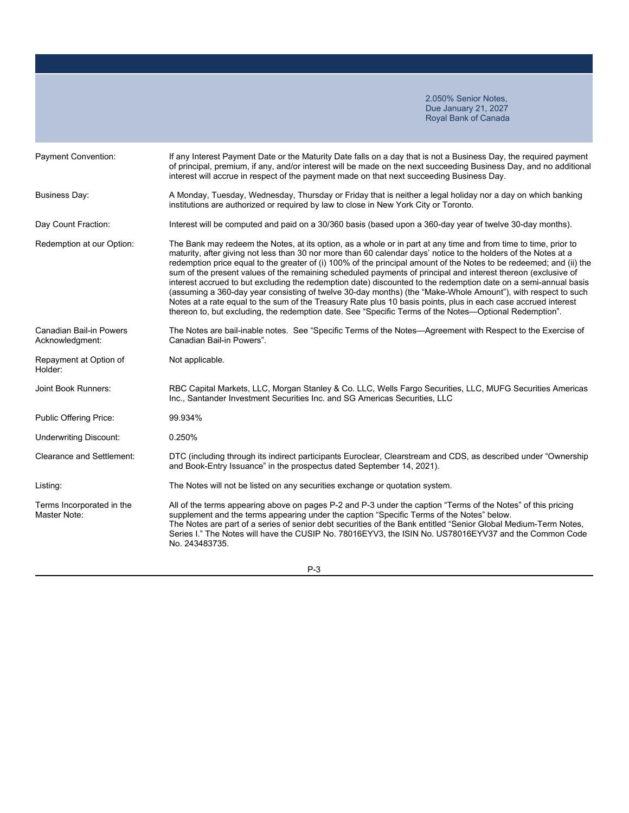| Payment Convention:                               | If any Interest Payment Date or the Maturity Date falls on a day that is not a Business Day, the required payment<br>of principal, premium, if any, and/or interest will be made on the next succeeding Business Day, and no additional<br>interest will accrue in respect of the payment made on that next succeeding Business Day.                                                                                                                                                                                                                                                                                                                                                                                                                                                                                                                                                                                                      |
|---------------------------------------------------|-------------------------------------------------------------------------------------------------------------------------------------------------------------------------------------------------------------------------------------------------------------------------------------------------------------------------------------------------------------------------------------------------------------------------------------------------------------------------------------------------------------------------------------------------------------------------------------------------------------------------------------------------------------------------------------------------------------------------------------------------------------------------------------------------------------------------------------------------------------------------------------------------------------------------------------------|
| <b>Business Day:</b>                              | A Monday, Tuesday, Wednesday, Thursday or Friday that is neither a legal holiday nor a day on which banking<br>institutions are authorized or required by law to close in New York City or Toronto.                                                                                                                                                                                                                                                                                                                                                                                                                                                                                                                                                                                                                                                                                                                                       |
| Day Count Fraction:                               | Interest will be computed and paid on a 30/360 basis (based upon a 360-day year of twelve 30-day months).                                                                                                                                                                                                                                                                                                                                                                                                                                                                                                                                                                                                                                                                                                                                                                                                                                 |
| Redemption at our Option:                         | The Bank may redeem the Notes, at its option, as a whole or in part at any time and from time to time, prior to<br>maturity, after giving not less than 30 nor more than 60 calendar days' notice to the holders of the Notes at a<br>redemption price equal to the greater of (i) 100% of the principal amount of the Notes to be redeemed; and (ii) the<br>sum of the present values of the remaining scheduled payments of principal and interest thereon (exclusive of<br>interest accrued to but excluding the redemption date) discounted to the redemption date on a semi-annual basis<br>(assuming a 360-day year consisting of twelve 30-day months) (the "Make-Whole Amount"), with respect to such<br>Notes at a rate equal to the sum of the Treasury Rate plus 10 basis points, plus in each case accrued interest<br>thereon to, but excluding, the redemption date. See "Specific Terms of the Notes-Optional Redemption". |
| <b>Canadian Bail-in Powers</b><br>Acknowledgment: | The Notes are bail-inable notes. See "Specific Terms of the Notes-Agreement with Respect to the Exercise of<br>Canadian Bail-in Powers".                                                                                                                                                                                                                                                                                                                                                                                                                                                                                                                                                                                                                                                                                                                                                                                                  |
| Repayment at Option of<br>Holder:                 | Not applicable.                                                                                                                                                                                                                                                                                                                                                                                                                                                                                                                                                                                                                                                                                                                                                                                                                                                                                                                           |
| Joint Book Runners:                               | RBC Capital Markets, LLC, Morgan Stanley & Co. LLC, Wells Fargo Securities, LLC, MUFG Securities Americas<br>Inc., Santander Investment Securities Inc. and SG Americas Securities, LLC                                                                                                                                                                                                                                                                                                                                                                                                                                                                                                                                                                                                                                                                                                                                                   |
| Public Offering Price:                            | 99.934%                                                                                                                                                                                                                                                                                                                                                                                                                                                                                                                                                                                                                                                                                                                                                                                                                                                                                                                                   |
| <b>Underwriting Discount:</b>                     | 0.250%                                                                                                                                                                                                                                                                                                                                                                                                                                                                                                                                                                                                                                                                                                                                                                                                                                                                                                                                    |
| <b>Clearance and Settlement:</b>                  | DTC (including through its indirect participants Euroclear, Clearstream and CDS, as described under "Ownership<br>and Book-Entry Issuance" in the prospectus dated September 14, 2021).                                                                                                                                                                                                                                                                                                                                                                                                                                                                                                                                                                                                                                                                                                                                                   |
| Listing:                                          | The Notes will not be listed on any securities exchange or quotation system.                                                                                                                                                                                                                                                                                                                                                                                                                                                                                                                                                                                                                                                                                                                                                                                                                                                              |
| Terms Incorporated in the<br>Master Note:         | All of the terms appearing above on pages P-2 and P-3 under the caption "Terms of the Notes" of this pricing<br>supplement and the terms appearing under the caption "Specific Terms of the Notes" below.<br>The Notes are part of a series of senior debt securities of the Bank entitled "Senior Global Medium-Term Notes,<br>Series I." The Notes will have the CUSIP No. 78016EYV3, the ISIN No. US78016EYV37 and the Common Code<br>No. 243483735.                                                                                                                                                                                                                                                                                                                                                                                                                                                                                   |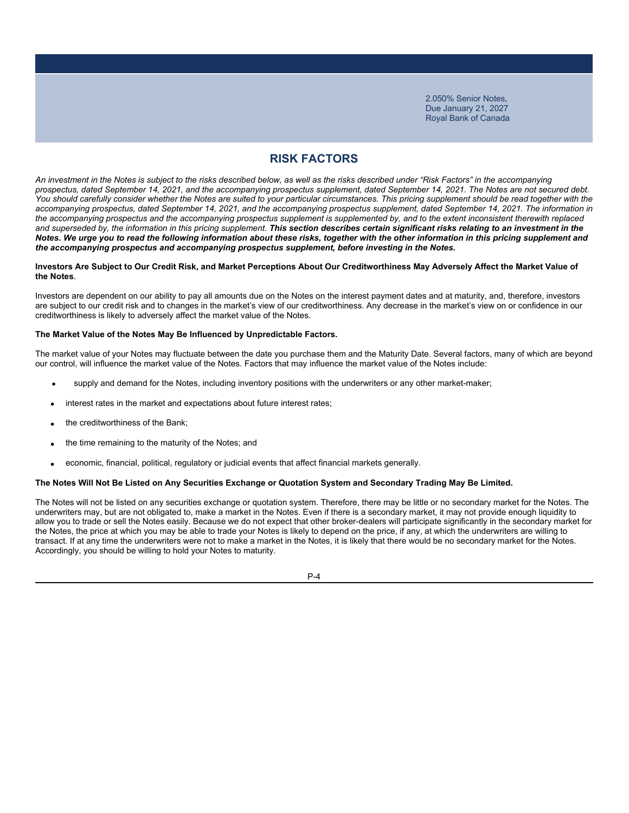### **RISK FACTORS**

*An investment in the Notes is subject to the risks described below, as well as the risks described under "Risk Factors" in the accompanying prospectus, dated September 14, 2021, and the accompanying prospectus supplement, dated September 14, 2021. The Notes are not secured debt.*  You should carefully consider whether the Notes are suited to your particular circumstances. This pricing supplement should be read together with the *accompanying prospectus, dated September 14, 2021, and the accompanying prospectus supplement, dated September 14, 2021. The information in*  the accompanying prospectus and the accompanying prospectus supplement is supplemented by, and to the extent inconsistent therewith replaced and superseded by, the information in this pricing supplement. This section describes certain significant risks relating to an investment in the *Notes. We urge you to read the following information about these risks, together with the other information in this pricing supplement and the accompanying prospectus and accompanying prospectus supplement, before investing in the Notes.*

#### **Investors Are Subject to Our Credit Risk, and Market Perceptions About Our Creditworthiness May Adversely Affect the Market Value of the Notes**.

Investors are dependent on our ability to pay all amounts due on the Notes on the interest payment dates and at maturity, and, therefore, investors are subject to our credit risk and to changes in the market's view of our creditworthiness. Any decrease in the market's view on or confidence in our creditworthiness is likely to adversely affect the market value of the Notes.

### **The Market Value of the Notes May Be Influenced by Unpredictable Factors.**

The market value of your Notes may fluctuate between the date you purchase them and the Maturity Date. Several factors, many of which are beyond our control, will influence the market value of the Notes. Factors that may influence the market value of the Notes include:

- supply and demand for the Notes, including inventory positions with the underwriters or any other market-maker;
- interest rates in the market and expectations about future interest rates;
- the creditworthiness of the Bank;
- the time remaining to the maturity of the Notes; and
- economic, financial, political, regulatory or judicial events that affect financial markets generally.

#### **The Notes Will Not Be Listed on Any Securities Exchange or Quotation System and Secondary Trading May Be Limited.**

The Notes will not be listed on any securities exchange or quotation system. Therefore, there may be little or no secondary market for the Notes. The underwriters may, but are not obligated to, make a market in the Notes. Even if there is a secondary market, it may not provide enough liquidity to allow you to trade or sell the Notes easily. Because we do not expect that other broker-dealers will participate significantly in the secondary market for the Notes, the price at which you may be able to trade your Notes is likely to depend on the price, if any, at which the underwriters are willing to transact. If at any time the underwriters were not to make a market in the Notes, it is likely that there would be no secondary market for the Notes. Accordingly, you should be willing to hold your Notes to maturity.

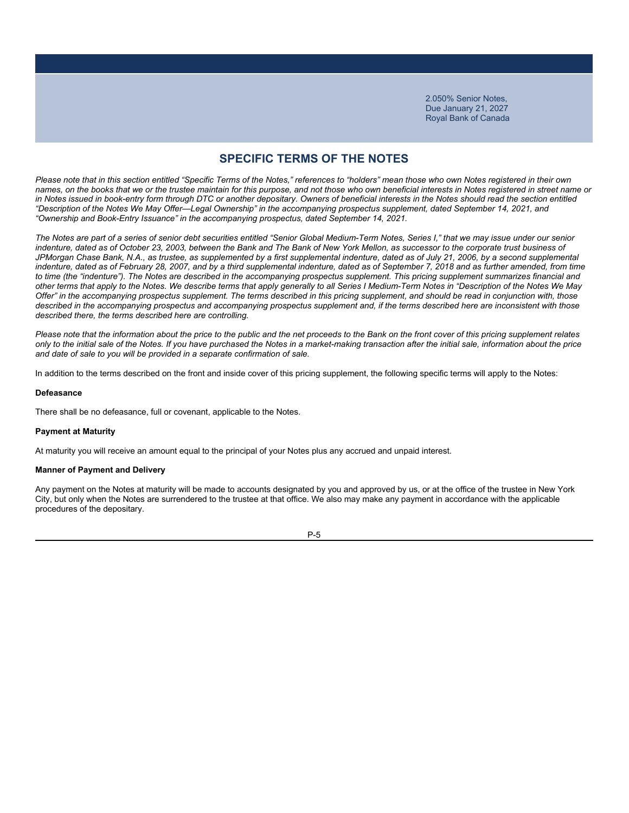### **SPECIFIC TERMS OF THE NOTES**

*Please note that in this section entitled "Specific Terms of the Notes," references to "holders" mean those who own Notes registered in their own names, on the books that we or the trustee maintain for this purpose, and not those who own beneficial interests in Notes registered in street name or*  in Notes issued in book-entry form through DTC or another depositary. Owners of beneficial interests in the Notes should read the section entitled *"Description of the Notes We May Offer—Legal Ownership" in the accompanying prospectus supplement, dated September 14, 2021, and "Ownership and Book-Entry Issuance" in the accompanying prospectus, dated September 14, 2021.*

*The Notes are part of a series of senior debt securities entitled "Senior Global Medium-Term Notes, Series I," that we may issue under our senior indenture, dated as of October 23, 2003, between the Bank and The Bank of New York Mellon, as successor to the corporate trust business of*  JPMorgan Chase Bank, N.A., as trustee, as supplemented by a first supplemental indenture, dated as of July 21, 2006, by a second supplemental indenture, dated as of February 28, 2007, and by a third supplemental indenture, dated as of September 7, 2018 and as further amended, from time *to time (the "indenture"). The Notes are described in the accompanying prospectus supplement. This pricing supplement summarizes financial and other terms that apply to the Notes. We describe terms that apply generally to all Series I Medium-Term Notes in "Description of the Notes We May Offer" in the accompanying prospectus supplement. The terms described in this pricing supplement, and should be read in conjunction with, those*  described in the accompanying prospectus and accompanying prospectus supplement and, if the terms described here are inconsistent with those *described there, the terms described here are controlling.*

*Please note that the information about the price to the public and the net proceeds to the Bank on the front cover of this pricing supplement relates only to the initial sale of the Notes. If you have purchased the Notes in a market-making transaction after the initial sale, information about the price and date of sale to you will be provided in a separate confirmation of sale.*

In addition to the terms described on the front and inside cover of this pricing supplement, the following specific terms will apply to the Notes:

#### **Defeasance**

There shall be no defeasance, full or covenant, applicable to the Notes.

#### **Payment at Maturity**

At maturity you will receive an amount equal to the principal of your Notes plus any accrued and unpaid interest.

#### **Manner of Payment and Delivery**

Any payment on the Notes at maturity will be made to accounts designated by you and approved by us, or at the office of the trustee in New York City, but only when the Notes are surrendered to the trustee at that office. We also may make any payment in accordance with the applicable procedures of the depositary.

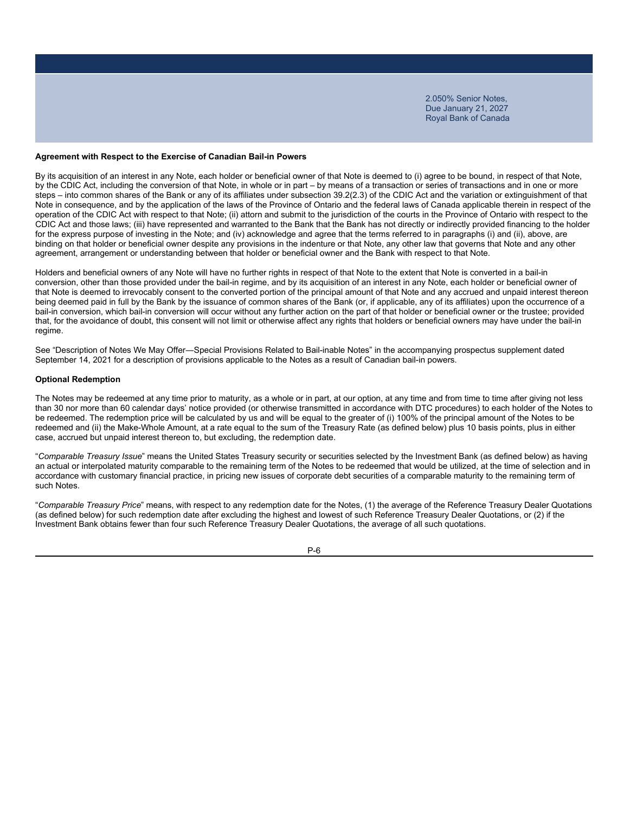#### **Agreement with Respect to the Exercise of Canadian Bail-in Powers**

By its acquisition of an interest in any Note, each holder or beneficial owner of that Note is deemed to (i) agree to be bound, in respect of that Note, by the CDIC Act, including the conversion of that Note, in whole or in part – by means of a transaction or series of transactions and in one or more steps – into common shares of the Bank or any of its affiliates under subsection 39.2(2.3) of the CDIC Act and the variation or extinguishment of that Note in consequence, and by the application of the laws of the Province of Ontario and the federal laws of Canada applicable therein in respect of the operation of the CDIC Act with respect to that Note; (ii) attorn and submit to the jurisdiction of the courts in the Province of Ontario with respect to the CDIC Act and those laws; (iii) have represented and warranted to the Bank that the Bank has not directly or indirectly provided financing to the holder for the express purpose of investing in the Note; and (iv) acknowledge and agree that the terms referred to in paragraphs (i) and (ii), above, are binding on that holder or beneficial owner despite any provisions in the indenture or that Note, any other law that governs that Note and any other agreement, arrangement or understanding between that holder or beneficial owner and the Bank with respect to that Note.

Holders and beneficial owners of any Note will have no further rights in respect of that Note to the extent that Note is converted in a bail-in conversion, other than those provided under the bail-in regime, and by its acquisition of an interest in any Note, each holder or beneficial owner of that Note is deemed to irrevocably consent to the converted portion of the principal amount of that Note and any accrued and unpaid interest thereon being deemed paid in full by the Bank by the issuance of common shares of the Bank (or, if applicable, any of its affiliates) upon the occurrence of a bail-in conversion, which bail-in conversion will occur without any further action on the part of that holder or beneficial owner or the trustee; provided that, for the avoidance of doubt, this consent will not limit or otherwise affect any rights that holders or beneficial owners may have under the bail-in regime.

See "Description of Notes We May Offer―Special Provisions Related to Bail-inable Notes" in the accompanying prospectus supplement dated September 14, 2021 for a description of provisions applicable to the Notes as a result of Canadian bail-in powers.

#### **Optional Redemption**

The Notes may be redeemed at any time prior to maturity, as a whole or in part, at our option, at any time and from time to time after giving not less than 30 nor more than 60 calendar days' notice provided (or otherwise transmitted in accordance with DTC procedures) to each holder of the Notes to be redeemed. The redemption price will be calculated by us and will be equal to the greater of (i) 100% of the principal amount of the Notes to be redeemed and (ii) the Make-Whole Amount, at a rate equal to the sum of the Treasury Rate (as defined below) plus 10 basis points, plus in either case, accrued but unpaid interest thereon to, but excluding, the redemption date.

"*Comparable Treasury Issue*" means the United States Treasury security or securities selected by the Investment Bank (as defined below) as having an actual or interpolated maturity comparable to the remaining term of the Notes to be redeemed that would be utilized, at the time of selection and in accordance with customary financial practice, in pricing new issues of corporate debt securities of a comparable maturity to the remaining term of such Notes.

"*Comparable Treasury Price*" means, with respect to any redemption date for the Notes, (1) the average of the Reference Treasury Dealer Quotations (as defined below) for such redemption date after excluding the highest and lowest of such Reference Treasury Dealer Quotations, or (2) if the Investment Bank obtains fewer than four such Reference Treasury Dealer Quotations, the average of all such quotations.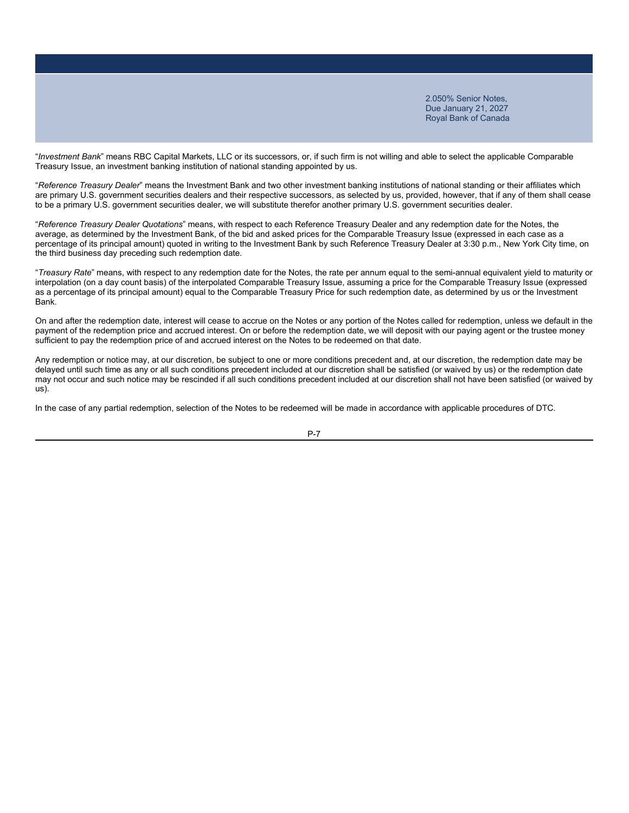"*Investment Bank*" means RBC Capital Markets, LLC or its successors, or, if such firm is not willing and able to select the applicable Comparable Treasury Issue, an investment banking institution of national standing appointed by us.

"*Reference Treasury Dealer*" means the Investment Bank and two other investment banking institutions of national standing or their affiliates which are primary U.S. government securities dealers and their respective successors, as selected by us, provided, however, that if any of them shall cease to be a primary U.S. government securities dealer, we will substitute therefor another primary U.S. government securities dealer.

"*Reference Treasury Dealer Quotations*" means, with respect to each Reference Treasury Dealer and any redemption date for the Notes, the average, as determined by the Investment Bank, of the bid and asked prices for the Comparable Treasury Issue (expressed in each case as a percentage of its principal amount) quoted in writing to the Investment Bank by such Reference Treasury Dealer at 3:30 p.m., New York City time, on the third business day preceding such redemption date.

"*Treasury Rate*" means, with respect to any redemption date for the Notes, the rate per annum equal to the semi-annual equivalent yield to maturity or interpolation (on a day count basis) of the interpolated Comparable Treasury Issue, assuming a price for the Comparable Treasury Issue (expressed as a percentage of its principal amount) equal to the Comparable Treasury Price for such redemption date, as determined by us or the Investment Bank.

On and after the redemption date, interest will cease to accrue on the Notes or any portion of the Notes called for redemption, unless we default in the payment of the redemption price and accrued interest. On or before the redemption date, we will deposit with our paying agent or the trustee money sufficient to pay the redemption price of and accrued interest on the Notes to be redeemed on that date.

Any redemption or notice may, at our discretion, be subject to one or more conditions precedent and, at our discretion, the redemption date may be delayed until such time as any or all such conditions precedent included at our discretion shall be satisfied (or waived by us) or the redemption date may not occur and such notice may be rescinded if all such conditions precedent included at our discretion shall not have been satisfied (or waived by us).

In the case of any partial redemption, selection of the Notes to be redeemed will be made in accordance with applicable procedures of DTC.

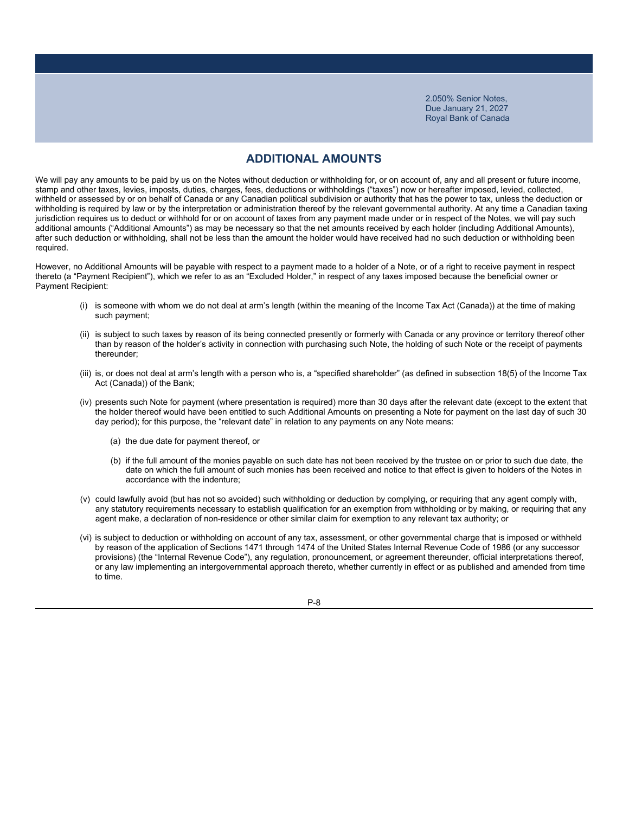### **ADDITIONAL AMOUNTS**

We will pay any amounts to be paid by us on the Notes without deduction or withholding for, or on account of, any and all present or future income, stamp and other taxes, levies, imposts, duties, charges, fees, deductions or withholdings ("taxes") now or hereafter imposed, levied, collected, withheld or assessed by or on behalf of Canada or any Canadian political subdivision or authority that has the power to tax, unless the deduction or withholding is required by law or by the interpretation or administration thereof by the relevant governmental authority. At any time a Canadian taxing jurisdiction requires us to deduct or withhold for or on account of taxes from any payment made under or in respect of the Notes, we will pay such additional amounts ("Additional Amounts") as may be necessary so that the net amounts received by each holder (including Additional Amounts), after such deduction or withholding, shall not be less than the amount the holder would have received had no such deduction or withholding been required.

However, no Additional Amounts will be payable with respect to a payment made to a holder of a Note, or of a right to receive payment in respect thereto (a "Payment Recipient"), which we refer to as an "Excluded Holder," in respect of any taxes imposed because the beneficial owner or Payment Recipient:

- (i) is someone with whom we do not deal at arm's length (within the meaning of the Income Tax Act (Canada)) at the time of making such payment;
- (ii) is subject to such taxes by reason of its being connected presently or formerly with Canada or any province or territory thereof other than by reason of the holder's activity in connection with purchasing such Note, the holding of such Note or the receipt of payments thereunder;
- (iii) is, or does not deal at arm's length with a person who is, a "specified shareholder" (as defined in subsection 18(5) of the Income Tax Act (Canada)) of the Bank;
- (iv) presents such Note for payment (where presentation is required) more than 30 days after the relevant date (except to the extent that the holder thereof would have been entitled to such Additional Amounts on presenting a Note for payment on the last day of such 30 day period); for this purpose, the "relevant date" in relation to any payments on any Note means:
	- (a) the due date for payment thereof, or
	- (b) if the full amount of the monies payable on such date has not been received by the trustee on or prior to such due date, the date on which the full amount of such monies has been received and notice to that effect is given to holders of the Notes in accordance with the indenture;
- (v) could lawfully avoid (but has not so avoided) such withholding or deduction by complying, or requiring that any agent comply with, any statutory requirements necessary to establish qualification for an exemption from withholding or by making, or requiring that any agent make, a declaration of non-residence or other similar claim for exemption to any relevant tax authority; or
- (vi) is subject to deduction or withholding on account of any tax, assessment, or other governmental charge that is imposed or withheld by reason of the application of Sections 1471 through 1474 of the United States Internal Revenue Code of 1986 (or any successor provisions) (the "Internal Revenue Code"), any regulation, pronouncement, or agreement thereunder, official interpretations thereof, or any law implementing an intergovernmental approach thereto, whether currently in effect or as published and amended from time to time.

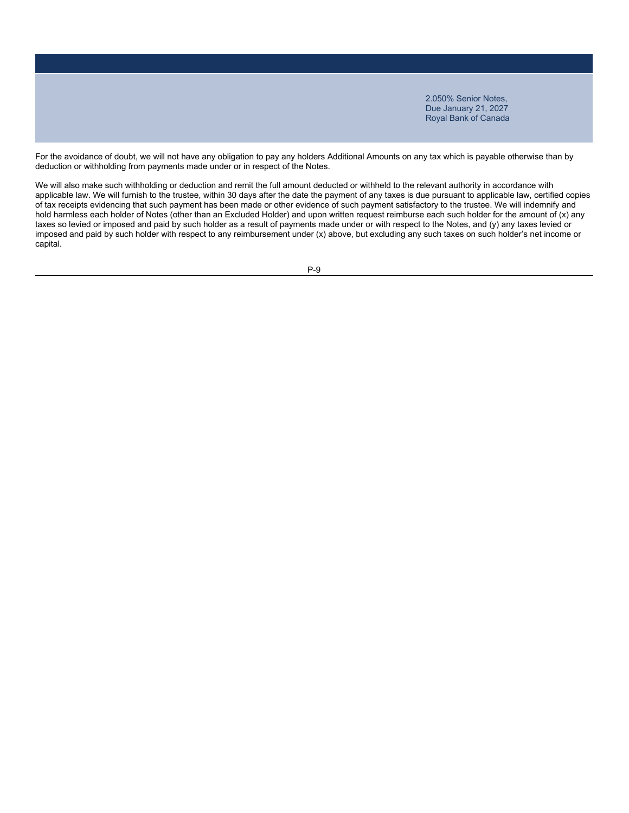For the avoidance of doubt, we will not have any obligation to pay any holders Additional Amounts on any tax which is payable otherwise than by deduction or withholding from payments made under or in respect of the Notes.

We will also make such withholding or deduction and remit the full amount deducted or withheld to the relevant authority in accordance with applicable law. We will furnish to the trustee, within 30 days after the date the payment of any taxes is due pursuant to applicable law, certified copies of tax receipts evidencing that such payment has been made or other evidence of such payment satisfactory to the trustee. We will indemnify and hold harmless each holder of Notes (other than an Excluded Holder) and upon written request reimburse each such holder for the amount of (x) any taxes so levied or imposed and paid by such holder as a result of payments made under or with respect to the Notes, and (y) any taxes levied or imposed and paid by such holder with respect to any reimbursement under (x) above, but excluding any such taxes on such holder's net income or capital.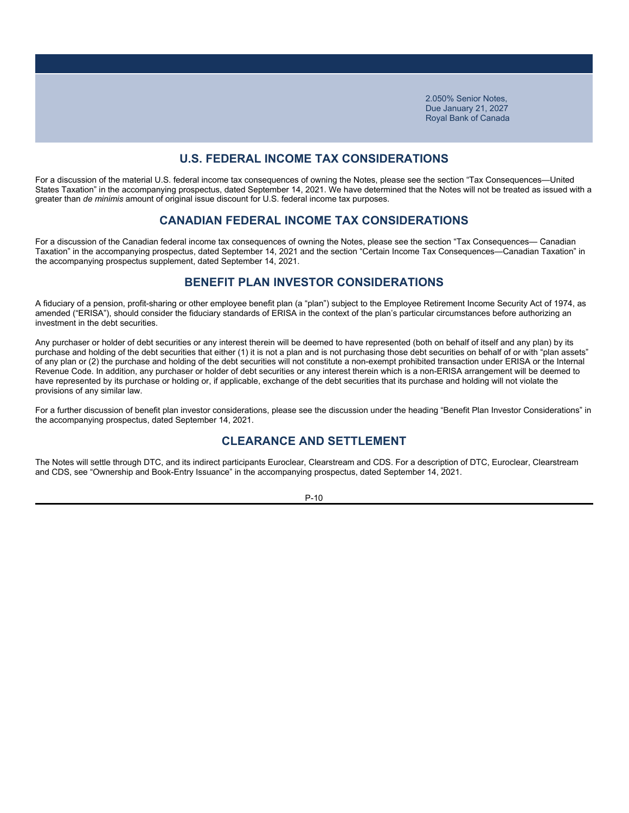### **U.S. FEDERAL INCOME TAX CONSIDERATIONS**

For a discussion of the material U.S. federal income tax consequences of owning the Notes, please see the section "Tax Consequences—United States Taxation" in the accompanying prospectus, dated September 14, 2021. We have determined that the Notes will not be treated as issued with a greater than *de minimis* amount of original issue discount for U.S. federal income tax purposes.

### **CANADIAN FEDERAL INCOME TAX CONSIDERATIONS**

For a discussion of the Canadian federal income tax consequences of owning the Notes, please see the section "Tax Consequences— Canadian Taxation" in the accompanying prospectus, dated September 14, 2021 and the section "Certain Income Tax Consequences—Canadian Taxation" in the accompanying prospectus supplement, dated September 14, 2021.

### **BENEFIT PLAN INVESTOR CONSIDERATIONS**

A fiduciary of a pension, profit-sharing or other employee benefit plan (a "plan") subject to the Employee Retirement Income Security Act of 1974, as amended ("ERISA"), should consider the fiduciary standards of ERISA in the context of the plan's particular circumstances before authorizing an investment in the debt securities.

Any purchaser or holder of debt securities or any interest therein will be deemed to have represented (both on behalf of itself and any plan) by its purchase and holding of the debt securities that either (1) it is not a plan and is not purchasing those debt securities on behalf of or with "plan assets" of any plan or (2) the purchase and holding of the debt securities will not constitute a non-exempt prohibited transaction under ERISA or the Internal Revenue Code. In addition, any purchaser or holder of debt securities or any interest therein which is a non-ERISA arrangement will be deemed to have represented by its purchase or holding or, if applicable, exchange of the debt securities that its purchase and holding will not violate the provisions of any similar law.

For a further discussion of benefit plan investor considerations, please see the discussion under the heading "Benefit Plan Investor Considerations" in the accompanying prospectus, dated September 14, 2021.

### **CLEARANCE AND SETTLEMENT**

The Notes will settle through DTC, and its indirect participants Euroclear, Clearstream and CDS. For a description of DTC, Euroclear, Clearstream and CDS, see "Ownership and Book-Entry Issuance" in the accompanying prospectus, dated September 14, 2021.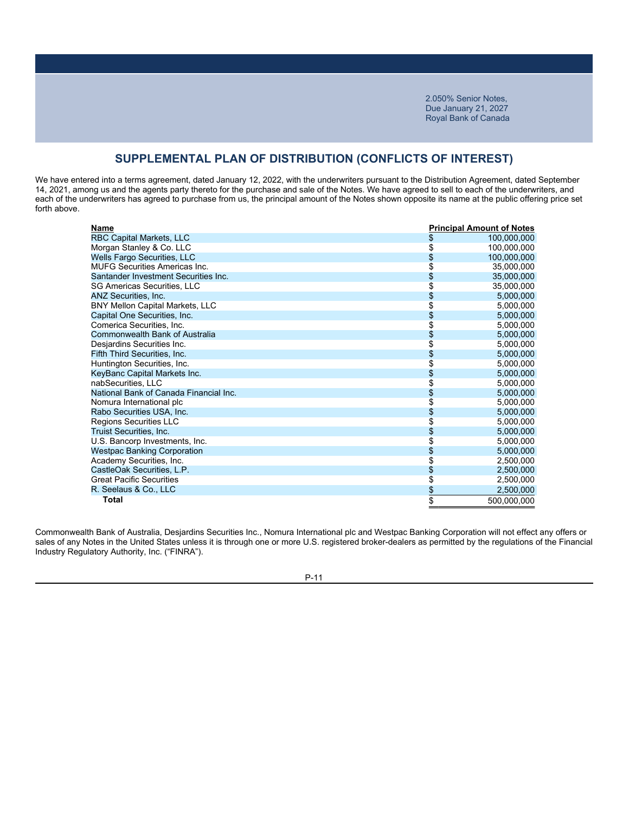## **SUPPLEMENTAL PLAN OF DISTRIBUTION (CONFLICTS OF INTEREST)**

We have entered into a terms agreement, dated January 12, 2022, with the underwriters pursuant to the Distribution Agreement, dated September 14, 2021, among us and the agents party thereto for the purchase and sale of the Notes. We have agreed to sell to each of the underwriters, and each of the underwriters has agreed to purchase from us, the principal amount of the Notes shown opposite its name at the public offering price set forth above.

| Name                                   | <b>Principal Amount of Notes</b> |  |
|----------------------------------------|----------------------------------|--|
| RBC Capital Markets, LLC               | \$<br>100,000,000                |  |
| Morgan Stanley & Co. LLC               | \$<br>100,000,000                |  |
| Wells Fargo Securities, LLC            | \$<br>100,000,000                |  |
| <b>MUFG Securities Americas Inc.</b>   | \$<br>35,000,000                 |  |
| Santander Investment Securities Inc.   | \$<br>35,000,000                 |  |
| <b>SG Americas Securities, LLC</b>     | \$<br>35,000,000                 |  |
| <b>ANZ Securities, Inc.</b>            | \$<br>5,000,000                  |  |
| BNY Mellon Capital Markets, LLC        | \$<br>5,000,000                  |  |
| Capital One Securities, Inc.           | \$<br>5,000,000                  |  |
| Comerica Securities, Inc.              | \$<br>5,000,000                  |  |
| Commonwealth Bank of Australia         | \$<br>5,000,000                  |  |
| Desjardins Securities Inc.             | \$<br>5,000,000                  |  |
| Fifth Third Securities, Inc.           | \$<br>5,000,000                  |  |
| Huntington Securities, Inc.            | \$<br>5,000,000                  |  |
| KeyBanc Capital Markets Inc.           | \$<br>5,000,000                  |  |
| nabSecurities, LLC                     | \$<br>5,000,000                  |  |
| National Bank of Canada Financial Inc. | \$<br>5,000,000                  |  |
| Nomura International plc               | \$<br>5,000,000                  |  |
| Rabo Securities USA, Inc.              | \$<br>5,000,000                  |  |
| Regions Securities LLC                 | \$<br>5,000,000                  |  |
| Truist Securities, Inc.                | \$<br>5,000,000                  |  |
| U.S. Bancorp Investments, Inc.         | \$<br>5,000,000                  |  |
| <b>Westpac Banking Corporation</b>     | \$<br>5,000,000                  |  |
| Academy Securities, Inc.               | \$<br>2,500,000                  |  |
| CastleOak Securities, L.P.             | \$<br>2,500,000                  |  |
| <b>Great Pacific Securities</b>        | \$<br>2,500,000                  |  |
| R. Seelaus & Co., LLC                  | \$<br>2,500,000                  |  |
| Total                                  | \$<br>500.000.000                |  |

Commonwealth Bank of Australia, Desjardins Securities Inc., Nomura International plc and Westpac Banking Corporation will not effect any offers or sales of any Notes in the United States unless it is through one or more U.S. registered broker-dealers as permitted by the regulations of the Financial Industry Regulatory Authority, Inc. ("FINRA").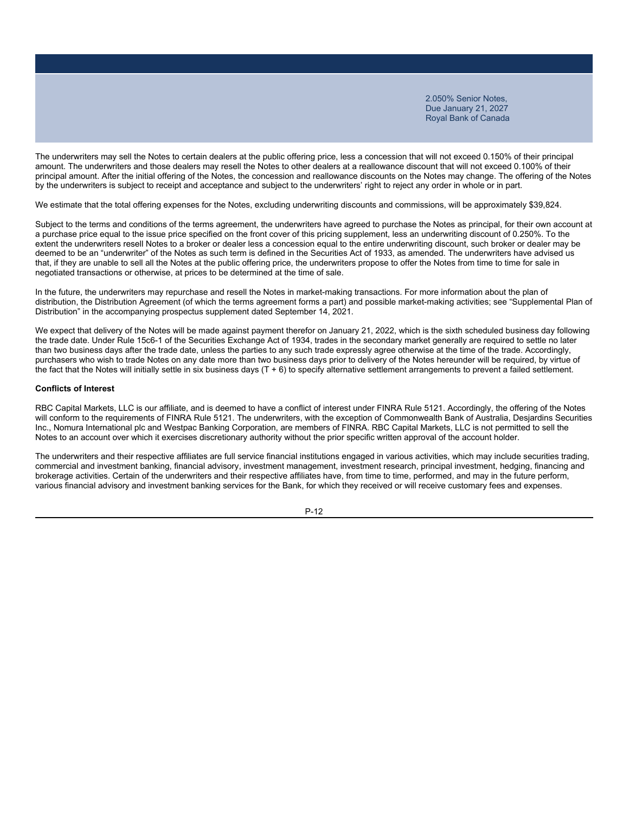The underwriters may sell the Notes to certain dealers at the public offering price, less a concession that will not exceed 0.150% of their principal amount. The underwriters and those dealers may resell the Notes to other dealers at a reallowance discount that will not exceed 0.100% of their principal amount. After the initial offering of the Notes, the concession and reallowance discounts on the Notes may change. The offering of the Notes by the underwriters is subject to receipt and acceptance and subject to the underwriters' right to reject any order in whole or in part.

We estimate that the total offering expenses for the Notes, excluding underwriting discounts and commissions, will be approximately \$39,824.

Subject to the terms and conditions of the terms agreement, the underwriters have agreed to purchase the Notes as principal, for their own account at a purchase price equal to the issue price specified on the front cover of this pricing supplement, less an underwriting discount of 0.250%. To the extent the underwriters resell Notes to a broker or dealer less a concession equal to the entire underwriting discount, such broker or dealer may be deemed to be an "underwriter" of the Notes as such term is defined in the Securities Act of 1933, as amended. The underwriters have advised us that, if they are unable to sell all the Notes at the public offering price, the underwriters propose to offer the Notes from time to time for sale in negotiated transactions or otherwise, at prices to be determined at the time of sale.

In the future, the underwriters may repurchase and resell the Notes in market-making transactions. For more information about the plan of distribution, the Distribution Agreement (of which the terms agreement forms a part) and possible market-making activities; see "Supplemental Plan of Distribution" in the accompanying prospectus supplement dated September 14, 2021.

We expect that delivery of the Notes will be made against payment therefor on January 21, 2022, which is the sixth scheduled business day following the trade date. Under Rule 15c6-1 of the Securities Exchange Act of 1934, trades in the secondary market generally are required to settle no later than two business days after the trade date, unless the parties to any such trade expressly agree otherwise at the time of the trade. Accordingly, purchasers who wish to trade Notes on any date more than two business days prior to delivery of the Notes hereunder will be required, by virtue of the fact that the Notes will initially settle in six business days (T + 6) to specify alternative settlement arrangements to prevent a failed settlement.

#### **Conflicts of Interest**

RBC Capital Markets, LLC is our affiliate, and is deemed to have a conflict of interest under FINRA Rule 5121. Accordingly, the offering of the Notes will conform to the requirements of FINRA Rule 5121. The underwriters, with the exception of Commonwealth Bank of Australia, Desjardins Securities Inc., Nomura International plc and Westpac Banking Corporation, are members of FINRA. RBC Capital Markets, LLC is not permitted to sell the Notes to an account over which it exercises discretionary authority without the prior specific written approval of the account holder.

The underwriters and their respective affiliates are full service financial institutions engaged in various activities, which may include securities trading, commercial and investment banking, financial advisory, investment management, investment research, principal investment, hedging, financing and brokerage activities. Certain of the underwriters and their respective affiliates have, from time to time, performed, and may in the future perform, various financial advisory and investment banking services for the Bank, for which they received or will receive customary fees and expenses.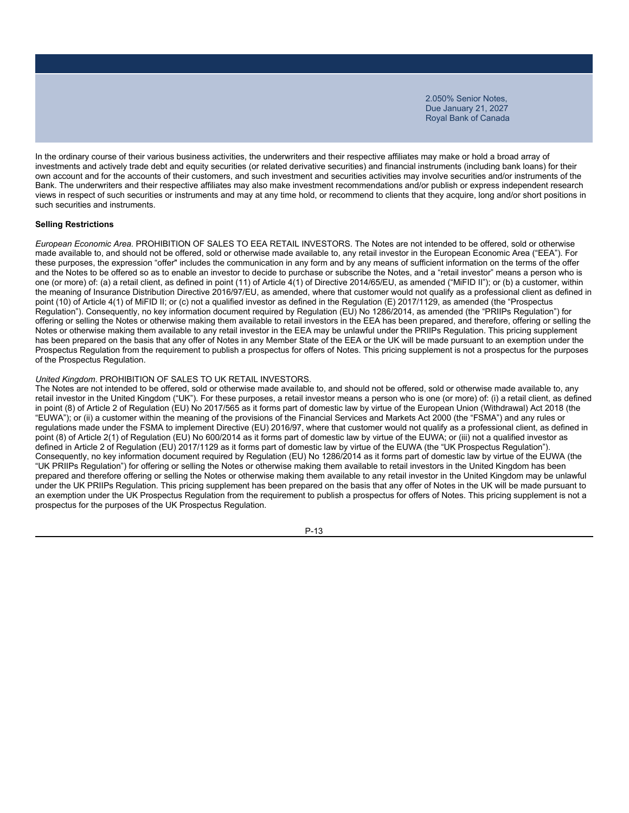In the ordinary course of their various business activities, the underwriters and their respective affiliates may make or hold a broad array of investments and actively trade debt and equity securities (or related derivative securities) and financial instruments (including bank loans) for their own account and for the accounts of their customers, and such investment and securities activities may involve securities and/or instruments of the Bank. The underwriters and their respective affiliates may also make investment recommendations and/or publish or express independent research views in respect of such securities or instruments and may at any time hold, or recommend to clients that they acquire, long and/or short positions in such securities and instruments.

### **Selling Restrictions**

*European Economic Area.* PROHIBITION OF SALES TO EEA RETAIL INVESTORS. The Notes are not intended to be offered, sold or otherwise made available to, and should not be offered, sold or otherwise made available to, any retail investor in the European Economic Area ("EEA"). For these purposes, the expression "offer" includes the communication in any form and by any means of sufficient information on the terms of the offer and the Notes to be offered so as to enable an investor to decide to purchase or subscribe the Notes, and a "retail investor" means a person who is one (or more) of: (a) a retail client, as defined in point (11) of Article 4(1) of Directive 2014/65/EU, as amended ("MiFID II"); or (b) a customer, within the meaning of Insurance Distribution Directive 2016/97/EU, as amended, where that customer would not qualify as a professional client as defined in point (10) of Article 4(1) of MiFID II; or (c) not a qualified investor as defined in the Regulation (E) 2017/1129, as amended (the "Prospectus Regulation"). Consequently, no key information document required by Regulation (EU) No 1286/2014, as amended (the "PRIIPs Regulation") for offering or selling the Notes or otherwise making them available to retail investors in the EEA has been prepared, and therefore, offering or selling the Notes or otherwise making them available to any retail investor in the EEA may be unlawful under the PRIIPs Regulation. This pricing supplement has been prepared on the basis that any offer of Notes in any Member State of the EEA or the UK will be made pursuant to an exemption under the Prospectus Regulation from the requirement to publish a prospectus for offers of Notes. This pricing supplement is not a prospectus for the purposes of the Prospectus Regulation.

### *United Kingdom*. PROHIBITION OF SALES TO UK RETAIL INVESTORS.

The Notes are not intended to be offered, sold or otherwise made available to, and should not be offered, sold or otherwise made available to, any retail investor in the United Kingdom ("UK"). For these purposes, a retail investor means a person who is one (or more) of: (i) a retail client, as defined in point (8) of Article 2 of Regulation (EU) No 2017/565 as it forms part of domestic law by virtue of the European Union (Withdrawal) Act 2018 (the "EUWA"); or (ii) a customer within the meaning of the provisions of the Financial Services and Markets Act 2000 (the "FSMA") and any rules or regulations made under the FSMA to implement Directive (EU) 2016/97, where that customer would not qualify as a professional client, as defined in point (8) of Article 2(1) of Regulation (EU) No 600/2014 as it forms part of domestic law by virtue of the EUWA; or (iii) not a qualified investor as defined in Article 2 of Regulation (EU) 2017/1129 as it forms part of domestic law by virtue of the EUWA (the "UK Prospectus Regulation"). Consequently, no key information document required by Regulation (EU) No 1286/2014 as it forms part of domestic law by virtue of the EUWA (the "UK PRIIPs Regulation") for offering or selling the Notes or otherwise making them available to retail investors in the United Kingdom has been prepared and therefore offering or selling the Notes or otherwise making them available to any retail investor in the United Kingdom may be unlawful under the UK PRIIPs Regulation. This pricing supplement has been prepared on the basis that any offer of Notes in the UK will be made pursuant to an exemption under the UK Prospectus Regulation from the requirement to publish a prospectus for offers of Notes. This pricing supplement is not a prospectus for the purposes of the UK Prospectus Regulation.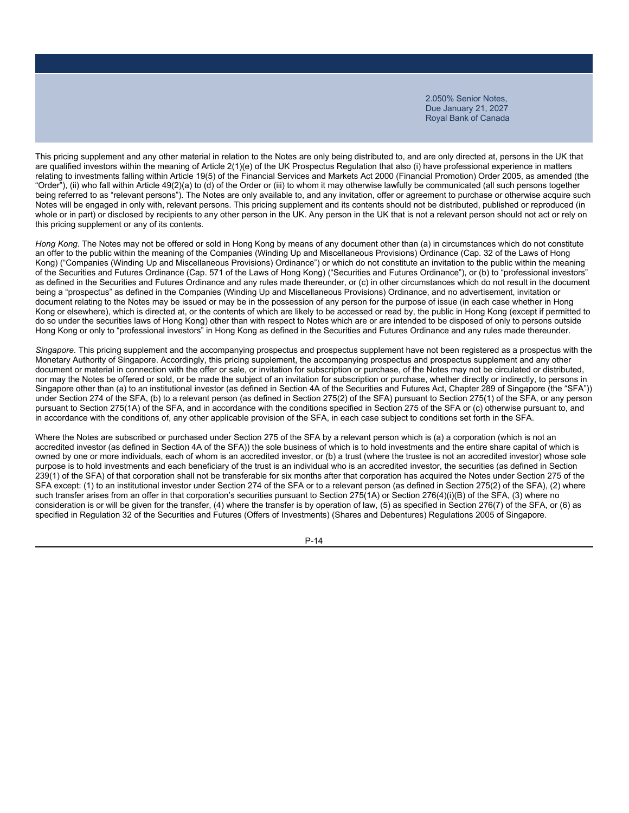This pricing supplement and any other material in relation to the Notes are only being distributed to, and are only directed at, persons in the UK that are qualified investors within the meaning of Article 2(1)(e) of the UK Prospectus Regulation that also (i) have professional experience in matters relating to investments falling within Article 19(5) of the Financial Services and Markets Act 2000 (Financial Promotion) Order 2005, as amended (the "Order"), (ii) who fall within Article 49(2)(a) to (d) of the Order or (iii) to whom it may otherwise lawfully be communicated (all such persons together being referred to as "relevant persons"). The Notes are only available to, and any invitation, offer or agreement to purchase or otherwise acquire such Notes will be engaged in only with, relevant persons. This pricing supplement and its contents should not be distributed, published or reproduced (in whole or in part) or disclosed by recipients to any other person in the UK. Any person in the UK that is not a relevant person should not act or rely on this pricing supplement or any of its contents.

*Hong Kong*. The Notes may not be offered or sold in Hong Kong by means of any document other than (a) in circumstances which do not constitute an offer to the public within the meaning of the Companies (Winding Up and Miscellaneous Provisions) Ordinance (Cap. 32 of the Laws of Hong Kong) ("Companies (Winding Up and Miscellaneous Provisions) Ordinance") or which do not constitute an invitation to the public within the meaning of the Securities and Futures Ordinance (Cap. 571 of the Laws of Hong Kong) ("Securities and Futures Ordinance"), or (b) to "professional investors" as defined in the Securities and Futures Ordinance and any rules made thereunder, or (c) in other circumstances which do not result in the document being a "prospectus" as defined in the Companies (Winding Up and Miscellaneous Provisions) Ordinance, and no advertisement, invitation or document relating to the Notes may be issued or may be in the possession of any person for the purpose of issue (in each case whether in Hong Kong or elsewhere), which is directed at, or the contents of which are likely to be accessed or read by, the public in Hong Kong (except if permitted to do so under the securities laws of Hong Kong) other than with respect to Notes which are or are intended to be disposed of only to persons outside Hong Kong or only to "professional investors" in Hong Kong as defined in the Securities and Futures Ordinance and any rules made thereunder.

*Singapore*. This pricing supplement and the accompanying prospectus and prospectus supplement have not been registered as a prospectus with the Monetary Authority of Singapore. Accordingly, this pricing supplement, the accompanying prospectus and prospectus supplement and any other document or material in connection with the offer or sale, or invitation for subscription or purchase, of the Notes may not be circulated or distributed, nor may the Notes be offered or sold, or be made the subject of an invitation for subscription or purchase, whether directly or indirectly, to persons in Singapore other than (a) to an institutional investor (as defined in Section 4A of the Securities and Futures Act, Chapter 289 of Singapore (the "SFA")) under Section 274 of the SFA, (b) to a relevant person (as defined in Section 275(2) of the SFA) pursuant to Section 275(1) of the SFA, or any person pursuant to Section 275(1A) of the SFA, and in accordance with the conditions specified in Section 275 of the SFA or (c) otherwise pursuant to, and in accordance with the conditions of, any other applicable provision of the SFA, in each case subject to conditions set forth in the SFA.

Where the Notes are subscribed or purchased under Section 275 of the SFA by a relevant person which is (a) a corporation (which is not an accredited investor (as defined in Section 4A of the SFA)) the sole business of which is to hold investments and the entire share capital of which is owned by one or more individuals, each of whom is an accredited investor, or (b) a trust (where the trustee is not an accredited investor) whose sole purpose is to hold investments and each beneficiary of the trust is an individual who is an accredited investor, the securities (as defined in Section 239(1) of the SFA) of that corporation shall not be transferable for six months after that corporation has acquired the Notes under Section 275 of the SFA except: (1) to an institutional investor under Section 274 of the SFA or to a relevant person (as defined in Section 275(2) of the SFA), (2) where such transfer arises from an offer in that corporation's securities pursuant to Section 275(1A) or Section 276(4)(i)(B) of the SFA, (3) where no consideration is or will be given for the transfer, (4) where the transfer is by operation of law, (5) as specified in Section 276(7) of the SFA, or (6) as specified in Regulation 32 of the Securities and Futures (Offers of Investments) (Shares and Debentures) Regulations 2005 of Singapore.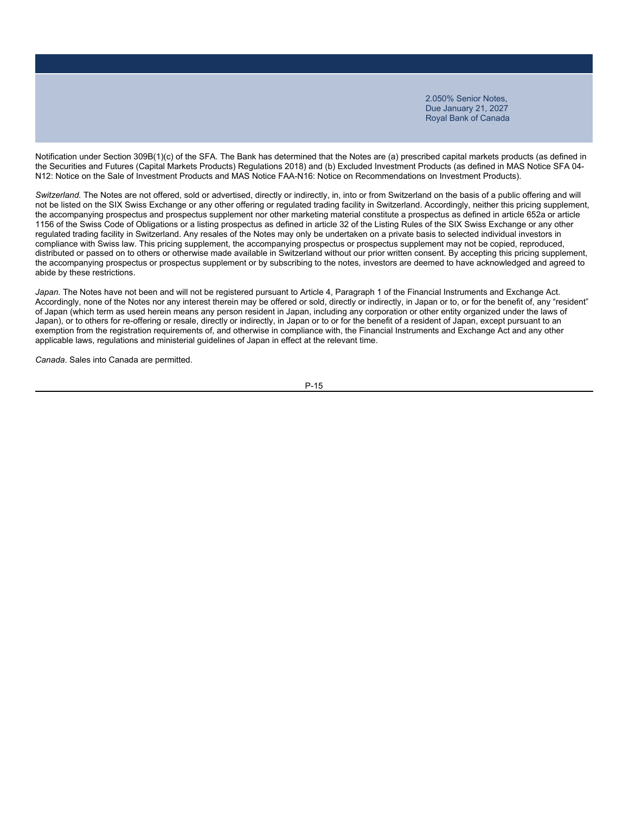Notification under Section 309B(1)(c) of the SFA. The Bank has determined that the Notes are (a) prescribed capital markets products (as defined in the Securities and Futures (Capital Markets Products) Regulations 2018) and (b) Excluded Investment Products (as defined in MAS Notice SFA 04- N12: Notice on the Sale of Investment Products and MAS Notice FAA-N16: Notice on Recommendations on Investment Products).

*Switzerland.* The Notes are not offered, sold or advertised, directly or indirectly, in, into or from Switzerland on the basis of a public offering and will not be listed on the SIX Swiss Exchange or any other offering or regulated trading facility in Switzerland. Accordingly, neither this pricing supplement, the accompanying prospectus and prospectus supplement nor other marketing material constitute a prospectus as defined in article 652a or article 1156 of the Swiss Code of Obligations or a listing prospectus as defined in article 32 of the Listing Rules of the SIX Swiss Exchange or any other regulated trading facility in Switzerland. Any resales of the Notes may only be undertaken on a private basis to selected individual investors in compliance with Swiss law. This pricing supplement, the accompanying prospectus or prospectus supplement may not be copied, reproduced, distributed or passed on to others or otherwise made available in Switzerland without our prior written consent. By accepting this pricing supplement, the accompanying prospectus or prospectus supplement or by subscribing to the notes, investors are deemed to have acknowledged and agreed to abide by these restrictions.

*Japan.* The Notes have not been and will not be registered pursuant to Article 4, Paragraph 1 of the Financial Instruments and Exchange Act. Accordingly, none of the Notes nor any interest therein may be offered or sold, directly or indirectly, in Japan or to, or for the benefit of, any "resident" of Japan (which term as used herein means any person resident in Japan, including any corporation or other entity organized under the laws of Japan), or to others for re-offering or resale, directly or indirectly, in Japan or to or for the benefit of a resident of Japan, except pursuant to an exemption from the registration requirements of, and otherwise in compliance with, the Financial Instruments and Exchange Act and any other applicable laws, regulations and ministerial guidelines of Japan in effect at the relevant time.

*Canada*. Sales into Canada are permitted.